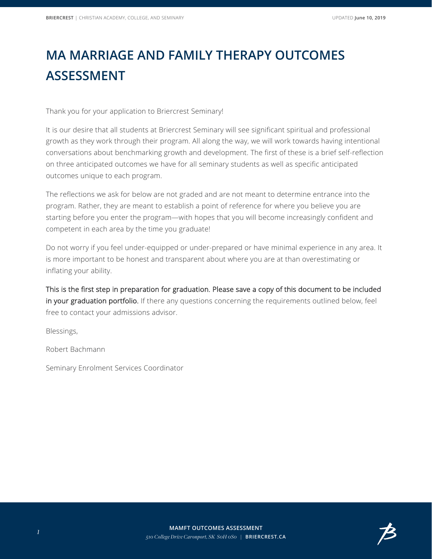## **MA MARRIAGE AND FAMILY THERAPY OUTCOMES ASSESSMENT**

Thank you for your application to Briercrest Seminary!

It is our desire that all students at Briercrest Seminary will see significant spiritual and professional growth as they work through their program. All along the way, we will work towards having intentional conversations about benchmarking growth and development. The first of these is a brief self-reflection on three anticipated outcomes we have for all seminary students as well as specific anticipated outcomes unique to each program.

The reflections we ask for below are not graded and are not meant to determine entrance into the program. Rather, they are meant to establish a point of reference for where you believe you are starting before you enter the program—with hopes that you will become increasingly confident and competent in each area by the time you graduate!

Do not worry if you feel under-equipped or under-prepared or have minimal experience in any area. It is more important to be honest and transparent about where you are at than overestimating or inflating your ability.

This is the first step in preparation for graduation. Please save a copy of this document to be included in your graduation portfolio. If there any questions concerning the requirements outlined below, feel free to contact your admissions advisor.

Blessings,

Robert Bachmann

Seminary Enrolment Services Coordinator

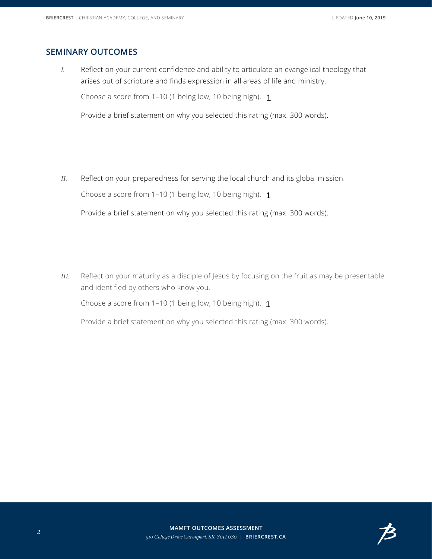## **SEMINARY OUTCOMES**

*I.* Reflect on your current confidence and ability to articulate an evangelical theology that arises out of scripture and finds expression in all areas of life and ministry.

Choose a score from 1–10 (1 being low, 10 being high). 1



Provide a brief statement on why you selected this rating (max. 300 words).

*II.* Reflect on your preparedness for serving the local church and its global mission.

Choose a score from 1–10 (1 being low, 10 being high). 1

 $\vert \textbf{v} \vert$ 

Provide a brief statement on why you selected this rating (max. 300 words).

*III.* Reflect on your maturity as a disciple of Jesus by focusing on the fruit as may be presentable and identified by others who know you.

Choose a score from 1–10 (1 being low, 10 being high). 1



Provide a brief statement on why you selected this rating (max. 300 words).